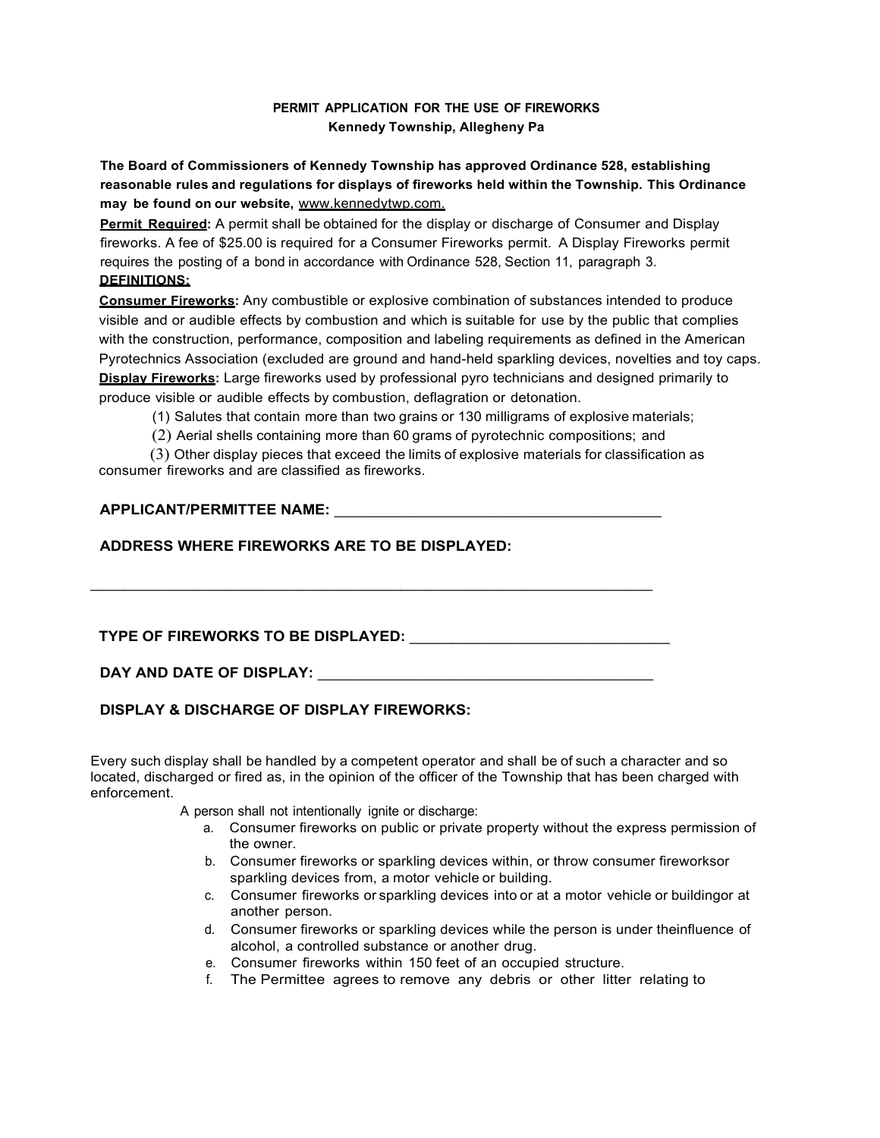## **PERMIT APPLICATION FOR THE USE OF FIREWORKS Kennedy Township, Allegheny Pa**

**The Board of Commissioners of Kennedy Township has approved Ordinance 528, establishing reasonable rules and regulations for displays of fireworks held within the Township. This Ordinance may be found on our website,** [www.kennedytwp.com.](http://www.kennedytwp.com/)

**Permit Required:** A permit shall be obtained for the display or discharge of Consumer and Display fireworks. A fee of \$25.00 is required for a Consumer Fireworks permit. A Display Fireworks permit requires the posting of a bond in accordance with Ordinance 528, Section 11, paragraph 3. **DEFINITIONS:**

**Consumer Fireworks:** Any combustible or explosive combination of substances intended to produce visible and or audible effects by combustion and which is suitable for use by the public that complies with the construction, performance, composition and labeling requirements as defined in the American Pyrotechnics Association (excluded are ground and hand-held sparkling devices, novelties and toy caps. **Display Fireworks:** Large fireworks used by professional pyro technicians and designed primarily to produce visible or audible effects by combustion, deflagration or detonation.

(1) Salutes that contain more than two grains or 130 milligrams of explosive materials;

(2) Aerial shells containing more than 60 grams of pyrotechnic compositions; and

(3) Other display pieces that exceed the limits of explosive materials for classification as consumer fireworks and are classified as fireworks.

 $\overline{\phantom{a}}$  ,  $\overline{\phantom{a}}$  ,  $\overline{\phantom{a}}$  ,  $\overline{\phantom{a}}$  ,  $\overline{\phantom{a}}$  ,  $\overline{\phantom{a}}$  ,  $\overline{\phantom{a}}$  ,  $\overline{\phantom{a}}$  ,  $\overline{\phantom{a}}$  ,  $\overline{\phantom{a}}$  ,  $\overline{\phantom{a}}$  ,  $\overline{\phantom{a}}$  ,  $\overline{\phantom{a}}$  ,  $\overline{\phantom{a}}$  ,  $\overline{\phantom{a}}$  ,  $\overline{\phantom{a}}$ 

## **APPLICANT/PERMITTEE NAME:** \_\_\_\_\_\_\_\_\_\_\_\_\_\_\_\_\_\_\_\_\_\_\_\_\_\_\_\_\_\_\_\_\_\_\_\_\_\_\_

## **ADDRESS WHERE FIREWORKS ARE TO BE DISPLAYED:**

## **TYPE OF FIREWORKS TO BE DISPLAYED:** \_\_\_\_\_\_\_\_\_\_\_\_\_\_\_\_\_\_\_\_\_\_\_\_\_\_\_\_\_\_\_

**DAY AND DATE OF DISPLAY:** \_\_\_\_\_\_\_\_\_\_\_\_\_\_\_\_\_\_\_\_\_\_\_\_\_\_\_\_\_\_\_\_\_\_\_\_\_\_\_\_

## **DISPLAY & DISCHARGE OF DISPLAY FIREWORKS:**

Every such display shall be handled by a competent operator and shall be of such a character and so located, discharged or fired as, in the opinion of the officer of the Township that has been charged with enforcement.

A person shall not intentionally ignite or discharge:

- a. Consumer fireworks on public or private property without the express permission of the owner.
- b. Consumer fireworks or sparkling devices within, or throw consumer fireworksor sparkling devices from, a motor vehicle or building.
- c. Consumer fireworks or sparkling devices into or at a motor vehicle or buildingor at another person.
- d. Consumer fireworks or sparkling devices while the person is under theinfluence of alcohol, a controlled substance or another drug.
- e. Consumer fireworks within 150 feet of an occupied structure.
- f. The Permittee agrees to remove any debris or other litter relating to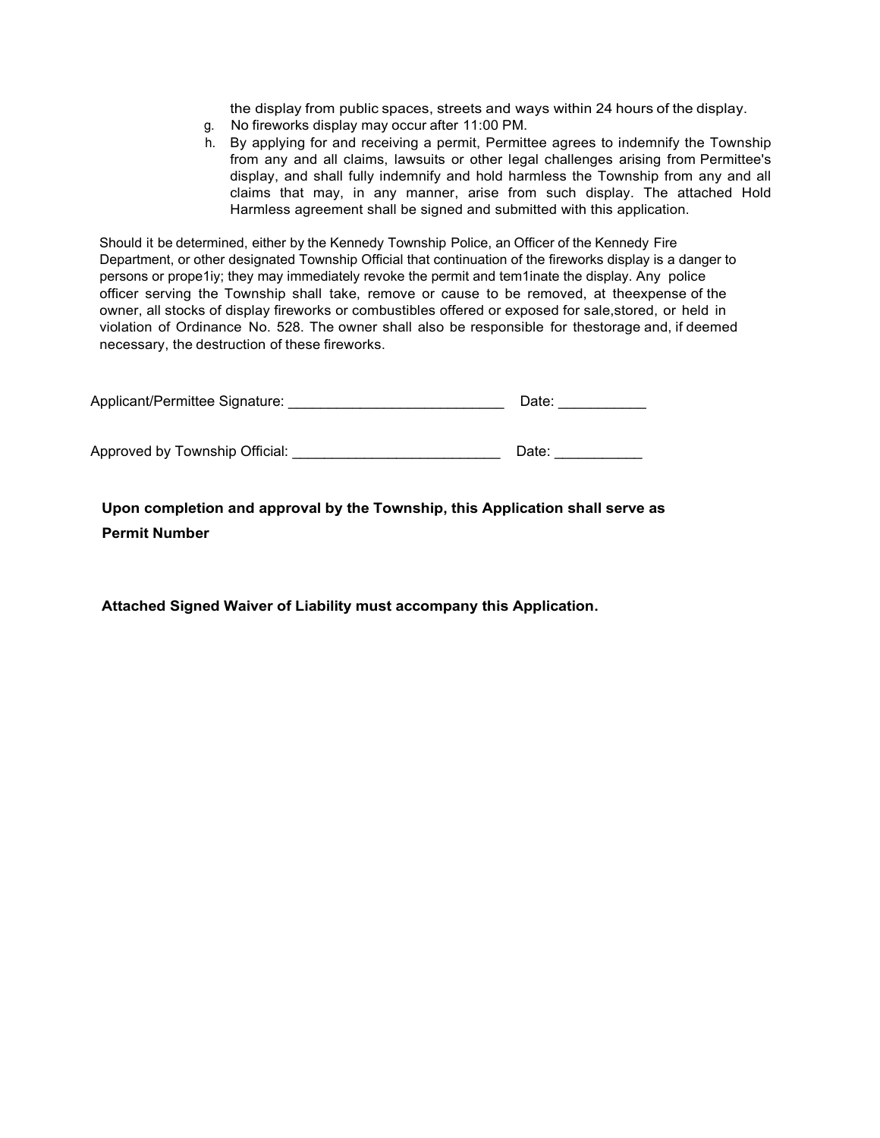the display from public spaces, streets and ways within 24 hours of the display.

- g. No fireworks display may occur after 11:00 PM.
- h. By applying for and receiving a permit, Permittee agrees to indemnify the Township from any and all claims, lawsuits or other legal challenges arising from Permittee's display, and shall fully indemnify and hold harmless the Township from any and all claims that may, in any manner, arise from such display. The attached Hold Harmless agreement shall be signed and submitted with this application.

Should it be determined, either by the Kennedy Township Police, an Officer of the Kennedy Fire Department, or other designated Township Official that continuation of the fireworks display is a danger to persons or prope1iy; they may immediately revoke the permit and tem1inate the display. Any police officer serving the Township shall take, remove or cause to be removed, at theexpense of the owner, all stocks of display fireworks or combustibles offered or exposed for sale,stored, or held in violation of Ordinance No. 528. The owner shall also be responsible for thestorage and, if deemed necessary, the destruction of these fireworks.

| Applicant/Permittee Signature: | Date: |
|--------------------------------|-------|
|                                |       |
| Approved by Township Official: | Date: |

**Upon completion and approval by the Township, this Application shall serve as Permit Number**

**Attached Signed Waiver of Liability must accompany this Application.**